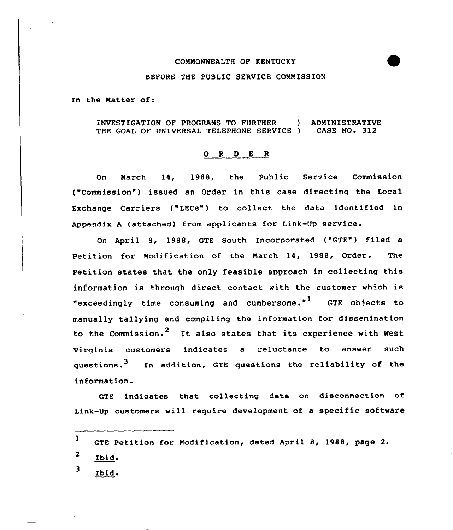#### COMMONWEALTH OF KENTUCKY

### BEFORE THE PUBLIC SERVICE COMMISSION

In the Matter of:

INVESTIGATION OF PROGRAMS TO FURTHER ) ADMINISTRATIVE THE GOAL OF UNIVERSAL TELEPHONE SERVICE ) CASE NO. 312

### 0 <sup>R</sup> <sup>D</sup> <sup>E</sup> <sup>R</sup>

On March 14, 1988, the Public Service Commission ("Commission") issued an Order in this case directing the Local Exchange Carriers ("LECs") to collect the data identified in Appendix <sup>A</sup> (attached) from applicants for Link-Up service.

On April 8, 1988, GTE South Incorporated ('GTE") filed <sup>a</sup> Petition for Modification of the March 14, 1988, Order. The Petition states that the only feasible approach in collecking this information is through direct contact with the customer vhich is "exceedingly time consuming and cumbersome." $1$  GTE objects to manually tallying and compiling the information for dissemination to the Commission.<sup>2</sup> It also states that its experience with West Virginia customers indicates a reluctance to answer such questions.<sup>3</sup> In addition, GTE questions the reliability of the information.

GTE indicates that collecting data on disconnection of Link-Up customers vill require development of a specific software

1 GTE Petition for Modification, dated April 8, 1988, page 2.

 $\mathbf{2}$ Ibid.

3 Ibid.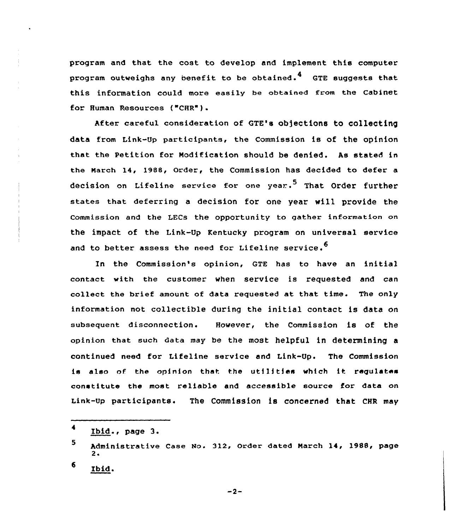program and that the cost to develop and implement this computer program outweighs any benefit to be obtained.<sup>4</sup> GTE suggests that this information could more easily be obtained from the Cabinet for Human Resources ("CHR").

After careful consideration of QTE's objections to collecting data from Link-Up participants, the Commission is of the opinion that the Petition for Modification should be denied. As stated in the March 14, 1988, Order, the Commission has decided to defer a decision on Lifeline service for one year.<sup>5</sup> That Order further states that deferring a decision for one year will provide the Commission and the LECs the opportunity to gather information on the impact of the Link-Up Kentucky program on universal service and to better assess the need for Lifeline service.<sup>6</sup>

In the Commission's opinion, GTE has to have an initial contact with the customer when service is requested and can collect the brief amount of data requested at that time. The only information not collectible during the initial contact is data on subsequent disconnection. However, the Commission is of the opinion that such data may be the most helpful in determining a continued need for Lifeline service and Link-Up. The Commission is also of the opinion that the utilities which it requlates constitute the most reliable and accessible source for data on Link-Up participants. The Commission is concerned that CHR may

 $-2-$ 

 $\blacktriangleleft$ Ibid., page 3.

<sup>5</sup> Administrative Case No. 312, Order dated March 14, 1988, page  $2 \cdot$ 

<sup>6</sup> Ibid.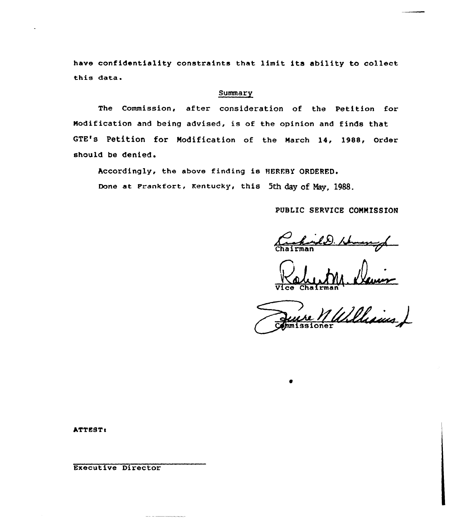have confidentiality constraints that limit its ability to collect this data

## Summary

The Commission, after consideration of the Petition for Nodification and being advised, is of the opinion and finds that GTE's Petition for Modification of the March 14, 1988, Order should be denied.

Accordingly, the above finding is HEREBY ORDERED.

Done at Frankfort, Kentucky, this 5th day of May, 1988.

PUBLIC SERVICE COMMISSION

<u>hand D.</u>

Vice Chairma

Williams J

ATTEST:

Executive Director